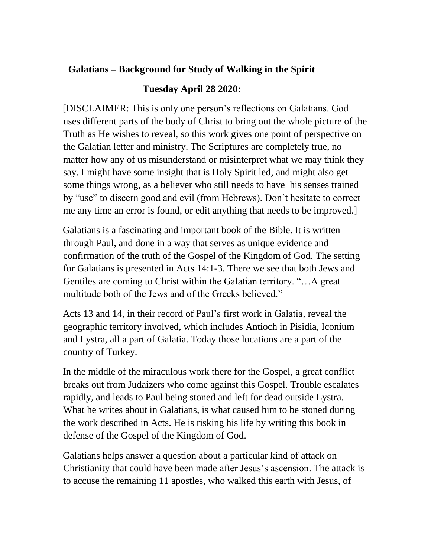## **Galatians – Background for Study of Walking in the Spirit**

## **Tuesday April 28 2020:**

[DISCLAIMER: This is only one person's reflections on Galatians. God uses different parts of the body of Christ to bring out the whole picture of the Truth as He wishes to reveal, so this work gives one point of perspective on the Galatian letter and ministry. The Scriptures are completely true, no matter how any of us misunderstand or misinterpret what we may think they say. I might have some insight that is Holy Spirit led, and might also get some things wrong, as a believer who still needs to have his senses trained by "use" to discern good and evil (from Hebrews). Don't hesitate to correct me any time an error is found, or edit anything that needs to be improved.]

Galatians is a fascinating and important book of the Bible. It is written through Paul, and done in a way that serves as unique evidence and confirmation of the truth of the Gospel of the Kingdom of God. The setting for Galatians is presented in Acts 14:1-3. There we see that both Jews and Gentiles are coming to Christ within the Galatian territory. "…A great multitude both of the Jews and of the Greeks believed."

Acts 13 and 14, in their record of Paul's first work in Galatia, reveal the geographic territory involved, which includes Antioch in Pisidia, Iconium and Lystra, all a part of Galatia. Today those locations are a part of the country of Turkey.

In the middle of the miraculous work there for the Gospel, a great conflict breaks out from Judaizers who come against this Gospel. Trouble escalates rapidly, and leads to Paul being stoned and left for dead outside Lystra. What he writes about in Galatians, is what caused him to be stoned during the work described in Acts. He is risking his life by writing this book in defense of the Gospel of the Kingdom of God.

Galatians helps answer a question about a particular kind of attack on Christianity that could have been made after Jesus's ascension. The attack is to accuse the remaining 11 apostles, who walked this earth with Jesus, of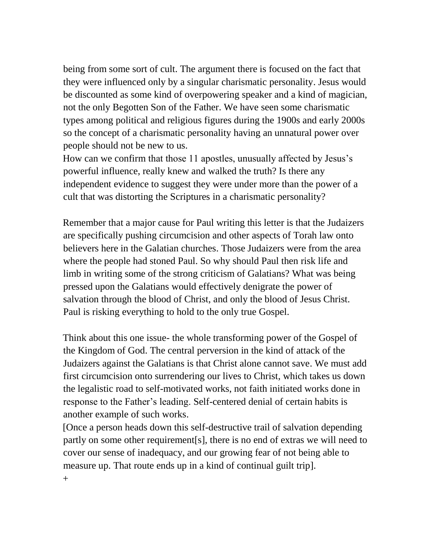being from some sort of cult. The argument there is focused on the fact that they were influenced only by a singular charismatic personality. Jesus would be discounted as some kind of overpowering speaker and a kind of magician, not the only Begotten Son of the Father. We have seen some charismatic types among political and religious figures during the 1900s and early 2000s so the concept of a charismatic personality having an unnatural power over people should not be new to us.

How can we confirm that those 11 apostles, unusually affected by Jesus's powerful influence, really knew and walked the truth? Is there any independent evidence to suggest they were under more than the power of a cult that was distorting the Scriptures in a charismatic personality?

Remember that a major cause for Paul writing this letter is that the Judaizers are specifically pushing circumcision and other aspects of Torah law onto believers here in the Galatian churches. Those Judaizers were from the area where the people had stoned Paul. So why should Paul then risk life and limb in writing some of the strong criticism of Galatians? What was being pressed upon the Galatians would effectively denigrate the power of salvation through the blood of Christ, and only the blood of Jesus Christ. Paul is risking everything to hold to the only true Gospel.

Think about this one issue- the whole transforming power of the Gospel of the Kingdom of God. The central perversion in the kind of attack of the Judaizers against the Galatians is that Christ alone cannot save. We must add first circumcision onto surrendering our lives to Christ, which takes us down the legalistic road to self-motivated works, not faith initiated works done in response to the Father's leading. Self-centered denial of certain habits is another example of such works.

[Once a person heads down this self-destructive trail of salvation depending partly on some other requirement[s], there is no end of extras we will need to cover our sense of inadequacy, and our growing fear of not being able to measure up. That route ends up in a kind of continual guilt trip].

 $^{+}$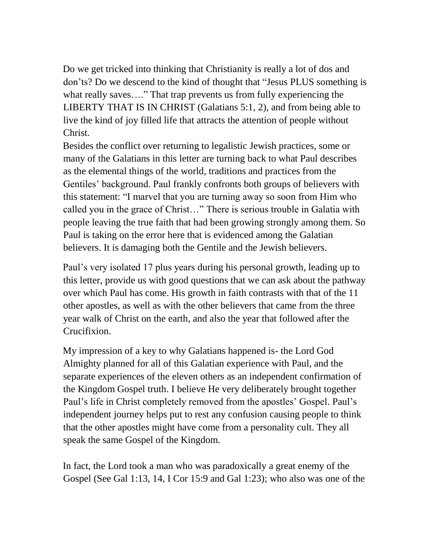Do we get tricked into thinking that Christianity is really a lot of dos and don'ts? Do we descend to the kind of thought that "Jesus PLUS something is what really saves…." That trap prevents us from fully experiencing the LIBERTY THAT IS IN CHRIST (Galatians 5:1, 2), and from being able to live the kind of joy filled life that attracts the attention of people without Christ.

Besides the conflict over returning to legalistic Jewish practices, some or many of the Galatians in this letter are turning back to what Paul describes as the elemental things of the world, traditions and practices from the Gentiles' background. Paul frankly confronts both groups of believers with this statement: "I marvel that you are turning away so soon from Him who called you in the grace of Christ…" There is serious trouble in Galatia with people leaving the true faith that had been growing strongly among them. So Paul is taking on the error here that is evidenced among the Galatian believers. It is damaging both the Gentile and the Jewish believers.

Paul's very isolated 17 plus years during his personal growth, leading up to this letter, provide us with good questions that we can ask about the pathway over which Paul has come. His growth in faith contrasts with that of the 11 other apostles, as well as with the other believers that came from the three year walk of Christ on the earth, and also the year that followed after the Crucifixion.

My impression of a key to why Galatians happened is- the Lord God Almighty planned for all of this Galatian experience with Paul, and the separate experiences of the eleven others as an independent confirmation of the Kingdom Gospel truth. I believe He very deliberately brought together Paul's life in Christ completely removed from the apostles' Gospel. Paul's independent journey helps put to rest any confusion causing people to think that the other apostles might have come from a personality cult. They all speak the same Gospel of the Kingdom.

In fact, the Lord took a man who was paradoxically a great enemy of the Gospel (See Gal 1:13, 14, I Cor 15:9 and Gal 1:23); who also was one of the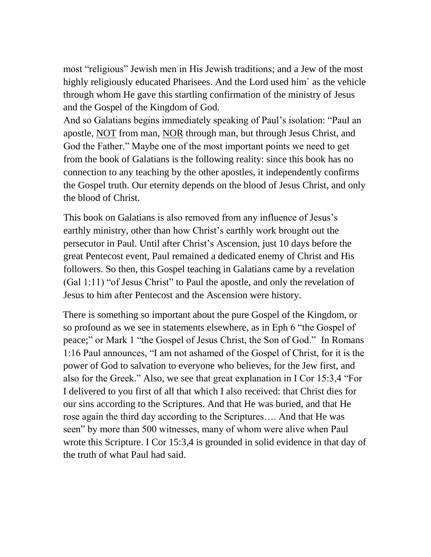most "religious" Jewish men in His Jewish traditions; and a Jew of the most highly religiously educated Pharisees. And the Lord used him` as the vehicle through whom He gave this startling confirmation of the ministry of Jesus and the Gospel of the Kingdom of God.

And so Galatians begins immediately speaking of Paul's isolation: "Paul an apostle, NOT from man, NOR through man, but through Jesus Christ, and God the Father." Maybe one of the most important points we need to get from the book of Galatians is the following reality: since this book has no connection to any teaching by the other apostles, it independently confirms the Gospel truth. Our eternity depends on the blood of Jesus Christ, and only the blood of Christ.

This book on Galatians is also removed from any influence of Jesus's earthly ministry, other than how Christ's earthly work brought out the persecutor in Paul. Until after Christ's Ascension, just 10 days before the great Pentecost event, Paul remained a dedicated enemy of Christ and His followers. So then, this Gospel teaching in Galatians came by a revelation (Gal 1:11) "of Jesus Christ" to Paul the apostle, and only the revelation of Jesus to him after Pentecost and the Ascension were history.

There is something so important about the pure Gospel of the Kingdom, or so profound as we see in statements elsewhere, as in Eph 6 "the Gospel of peace;" or Mark 1 "the Gospel of Jesus Christ, the Son of God." In Romans 1:16 Paul announces, "I am not ashamed of the Gospel of Christ, for it is the power of God to salvation to everyone who believes, for the Jew first, and also for the Greek." Also, we see that great explanation in I Cor 15:3,4 "For I delivered to you first of all that which I also received: that Christ dies for our sins according to the Scriptures. And that He was buried, and that He rose again the third day according to the Scriptures…. And that He was seen" by more than 500 witnesses, many of whom were alive when Paul wrote this Scripture. I Cor 15:3,4 is grounded in solid evidence in that day of the truth of what Paul had said.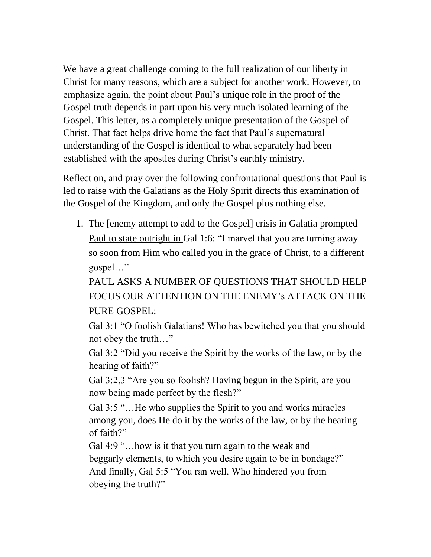We have a great challenge coming to the full realization of our liberty in Christ for many reasons, which are a subject for another work. However, to emphasize again, the point about Paul's unique role in the proof of the Gospel truth depends in part upon his very much isolated learning of the Gospel. This letter, as a completely unique presentation of the Gospel of Christ. That fact helps drive home the fact that Paul's supernatural understanding of the Gospel is identical to what separately had been established with the apostles during Christ's earthly ministry.

Reflect on, and pray over the following confrontational questions that Paul is led to raise with the Galatians as the Holy Spirit directs this examination of the Gospel of the Kingdom, and only the Gospel plus nothing else.

1. The [enemy attempt to add to the Gospel] crisis in Galatia prompted Paul to state outright in Gal 1:6: "I marvel that you are turning away so soon from Him who called you in the grace of Christ, to a different gospel…"

PAUL ASKS A NUMBER OF QUESTIONS THAT SHOULD HELP FOCUS OUR ATTENTION ON THE ENEMY's ATTACK ON THE PURE GOSPEL:

Gal 3:1 "O foolish Galatians! Who has bewitched you that you should not obey the truth…"

Gal 3:2 "Did you receive the Spirit by the works of the law, or by the hearing of faith?"

Gal 3:2,3 "Are you so foolish? Having begun in the Spirit, are you now being made perfect by the flesh?"

Gal 3:5 "…He who supplies the Spirit to you and works miracles among you, does He do it by the works of the law, or by the hearing of faith?"

Gal 4:9 "…how is it that you turn again to the weak and beggarly elements, to which you desire again to be in bondage?" And finally, Gal 5:5 "You ran well. Who hindered you from obeying the truth?"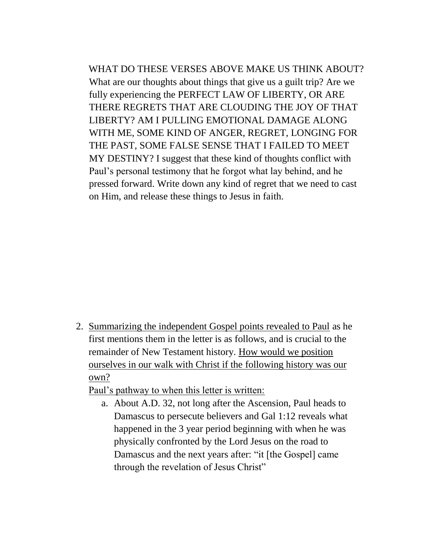WHAT DO THESE VERSES ABOVE MAKE US THINK ABOUT? What are our thoughts about things that give us a guilt trip? Are we fully experiencing the PERFECT LAW OF LIBERTY, OR ARE THERE REGRETS THAT ARE CLOUDING THE JOY OF THAT LIBERTY? AM I PULLING EMOTIONAL DAMAGE ALONG WITH ME, SOME KIND OF ANGER, REGRET, LONGING FOR THE PAST, SOME FALSE SENSE THAT I FAILED TO MEET MY DESTINY? I suggest that these kind of thoughts conflict with Paul's personal testimony that he forgot what lay behind, and he pressed forward. Write down any kind of regret that we need to cast on Him, and release these things to Jesus in faith.

2. Summarizing the independent Gospel points revealed to Paul as he first mentions them in the letter is as follows, and is crucial to the remainder of New Testament history. How would we position ourselves in our walk with Christ if the following history was our own?

Paul's pathway to when this letter is written:

a. About A.D. 32, not long after the Ascension, Paul heads to Damascus to persecute believers and Gal 1:12 reveals what happened in the 3 year period beginning with when he was physically confronted by the Lord Jesus on the road to Damascus and the next years after: "it [the Gospel] came through the revelation of Jesus Christ"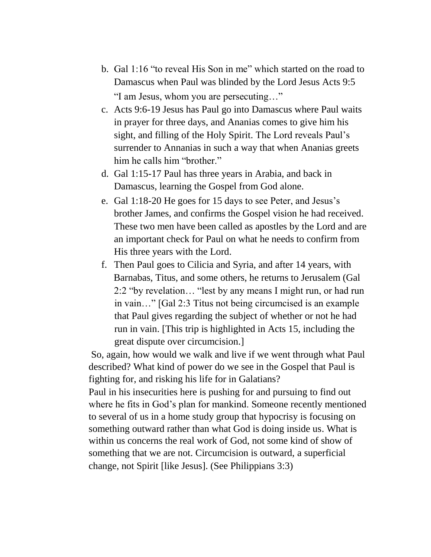- b. Gal 1:16 "to reveal His Son in me" which started on the road to Damascus when Paul was blinded by the Lord Jesus Acts 9:5 "I am Jesus, whom you are persecuting…"
- c. Acts 9:6-19 Jesus has Paul go into Damascus where Paul waits in prayer for three days, and Ananias comes to give him his sight, and filling of the Holy Spirit. The Lord reveals Paul's surrender to Annanias in such a way that when Ananias greets him he calls him "brother."
- d. Gal 1:15-17 Paul has three years in Arabia, and back in Damascus, learning the Gospel from God alone.
- e. Gal 1:18-20 He goes for 15 days to see Peter, and Jesus's brother James, and confirms the Gospel vision he had received. These two men have been called as apostles by the Lord and are an important check for Paul on what he needs to confirm from His three years with the Lord.
- f. Then Paul goes to Cilicia and Syria, and after 14 years, with Barnabas, Titus, and some others, he returns to Jerusalem (Gal 2:2 "by revelation… "lest by any means I might run, or had run in vain…" [Gal 2:3 Titus not being circumcised is an example that Paul gives regarding the subject of whether or not he had run in vain. [This trip is highlighted in Acts 15, including the great dispute over circumcision.]

So, again, how would we walk and live if we went through what Paul described? What kind of power do we see in the Gospel that Paul is fighting for, and risking his life for in Galatians?

Paul in his insecurities here is pushing for and pursuing to find out where he fits in God's plan for mankind. Someone recently mentioned to several of us in a home study group that hypocrisy is focusing on something outward rather than what God is doing inside us. What is within us concerns the real work of God, not some kind of show of something that we are not. Circumcision is outward, a superficial change, not Spirit [like Jesus]. (See Philippians 3:3)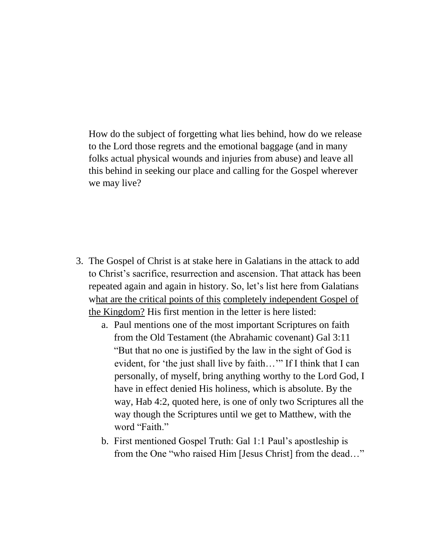How do the subject of forgetting what lies behind, how do we release to the Lord those regrets and the emotional baggage (and in many folks actual physical wounds and injuries from abuse) and leave all this behind in seeking our place and calling for the Gospel wherever we may live?

- 3. The Gospel of Christ is at stake here in Galatians in the attack to add to Christ's sacrifice, resurrection and ascension. That attack has been repeated again and again in history. So, let's list here from Galatians what are the critical points of this completely independent Gospel of the Kingdom? His first mention in the letter is here listed:
	- a. Paul mentions one of the most important Scriptures on faith from the Old Testament (the Abrahamic covenant) Gal 3:11 "But that no one is justified by the law in the sight of God is evident, for 'the just shall live by faith..." If I think that I can personally, of myself, bring anything worthy to the Lord God, I have in effect denied His holiness, which is absolute. By the way, Hab 4:2, quoted here, is one of only two Scriptures all the way though the Scriptures until we get to Matthew, with the word "Faith."
	- b. First mentioned Gospel Truth: Gal 1:1 Paul's apostleship is from the One "who raised Him [Jesus Christ] from the dead…"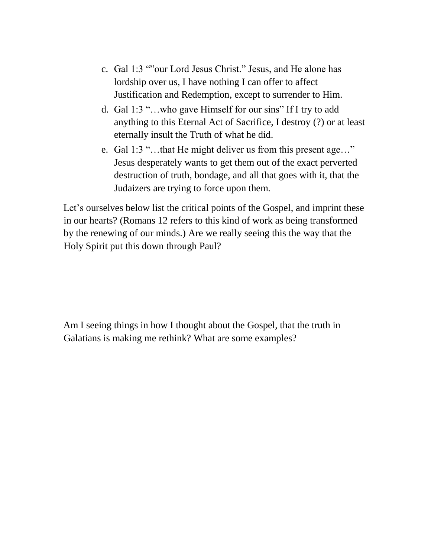- c. Gal 1:3 ""our Lord Jesus Christ." Jesus, and He alone has lordship over us, I have nothing I can offer to affect Justification and Redemption, except to surrender to Him.
- d. Gal 1:3 "…who gave Himself for our sins" If I try to add anything to this Eternal Act of Sacrifice, I destroy (?) or at least eternally insult the Truth of what he did.
- e. Gal 1:3 "…that He might deliver us from this present age…" Jesus desperately wants to get them out of the exact perverted destruction of truth, bondage, and all that goes with it, that the Judaizers are trying to force upon them.

Let's ourselves below list the critical points of the Gospel, and imprint these in our hearts? (Romans 12 refers to this kind of work as being transformed by the renewing of our minds.) Are we really seeing this the way that the Holy Spirit put this down through Paul?

Am I seeing things in how I thought about the Gospel, that the truth in Galatians is making me rethink? What are some examples?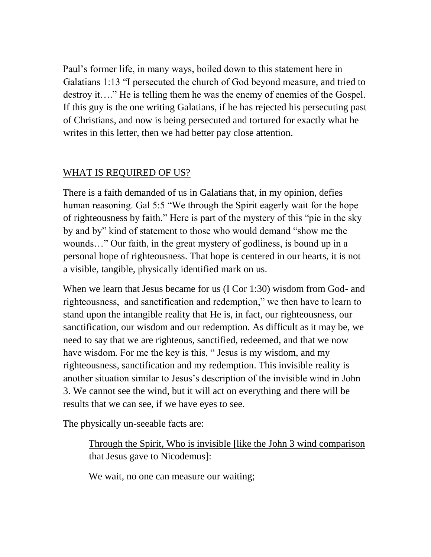Paul's former life, in many ways, boiled down to this statement here in Galatians 1:13 "I persecuted the church of God beyond measure, and tried to destroy it…." He is telling them he was the enemy of enemies of the Gospel. If this guy is the one writing Galatians, if he has rejected his persecuting past of Christians, and now is being persecuted and tortured for exactly what he writes in this letter, then we had better pay close attention.

## WHAT IS REQUIRED OF US?

There is a faith demanded of us in Galatians that, in my opinion, defies human reasoning. Gal 5:5 "We through the Spirit eagerly wait for the hope of righteousness by faith." Here is part of the mystery of this "pie in the sky by and by" kind of statement to those who would demand "show me the wounds…" Our faith, in the great mystery of godliness, is bound up in a personal hope of righteousness. That hope is centered in our hearts, it is not a visible, tangible, physically identified mark on us.

When we learn that Jesus became for us (I Cor 1:30) wisdom from God- and righteousness, and sanctification and redemption," we then have to learn to stand upon the intangible reality that He is, in fact, our righteousness, our sanctification, our wisdom and our redemption. As difficult as it may be, we need to say that we are righteous, sanctified, redeemed, and that we now have wisdom. For me the key is this, " Jesus is my wisdom, and my righteousness, sanctification and my redemption. This invisible reality is another situation similar to Jesus's description of the invisible wind in John 3. We cannot see the wind, but it will act on everything and there will be results that we can see, if we have eyes to see.

The physically un-seeable facts are:

Through the Spirit, Who is invisible [like the John 3 wind comparison that Jesus gave to Nicodemus]:

We wait, no one can measure our waiting;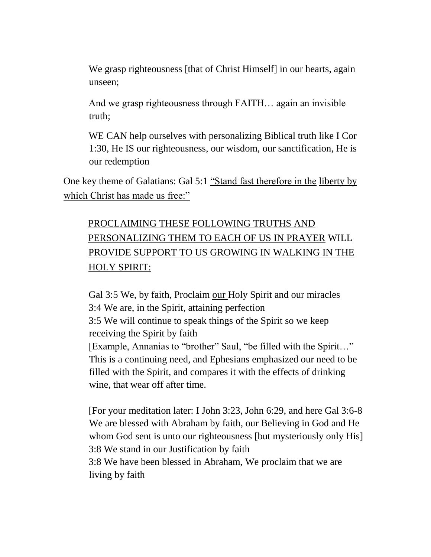We grasp righteousness [that of Christ Himself] in our hearts, again unseen;

And we grasp righteousness through FAITH… again an invisible truth;

WE CAN help ourselves with personalizing Biblical truth like I Cor 1:30, He IS our righteousness, our wisdom, our sanctification, He is our redemption

One key theme of Galatians: Gal 5:1 "Stand fast therefore in the liberty by which Christ has made us free:"

## PROCLAIMING THESE FOLLOWING TRUTHS AND PERSONALIZING THEM TO EACH OF US IN PRAYER WILL PROVIDE SUPPORT TO US GROWING IN WALKING IN THE HOLY SPIRIT:

Gal 3:5 We, by faith, Proclaim our Holy Spirit and our miracles 3:4 We are, in the Spirit, attaining perfection 3:5 We will continue to speak things of the Spirit so we keep receiving the Spirit by faith [Example, Annanias to "brother" Saul, "be filled with the Spirit…" This is a continuing need, and Ephesians emphasized our need to be filled with the Spirit, and compares it with the effects of drinking wine, that wear off after time.

[For your meditation later: I John 3:23, John 6:29, and here Gal 3:6-8 We are blessed with Abraham by faith, our Believing in God and He whom God sent is unto our righteousness [but mysteriously only His] 3:8 We stand in our Justification by faith

3:8 We have been blessed in Abraham, We proclaim that we are living by faith